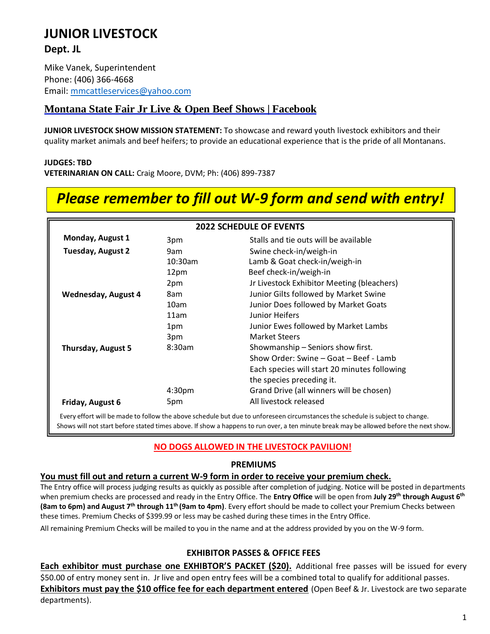# **JUNIOR LIVESTOCK**

**Dept. JL**

Mike Vanek, Superintendent Phone: (406) 366-4668 Email: [mmcattleservices@yahoo.com](mailto:mmcattleservices@yahoo.com)

## **Montana State Fair Jr [Live & Open Beef](https://www.google.com/url?sa=t&rct=j&q&esrc=s&frm=1&source=web&cd=1&ved=0CDIQFjAA&url=https%3A%2F%2Fwww.facebook.com%2Fpages%2FMontana-State-Fair-Junior-Livestock-Show%2F633312953363067%3Fref%3Dstream&ei=-rbRUeGrBcS7ygG03oDACw&usg=AFQjCNFu1OdiSBQAyvS9GIBZ7K1laHETpA&sig2=_mMgYHD8JJQF4BLvNBGJ8Q&bvm=bv.48572450%2Cd.aWc) Shows | Facebook**

**JUNIOR LIVESTOCK SHOW MISSION STATEMENT:** To showcase and reward youth livestock exhibitors and their quality market animals and beef heifers; to provide an educational experience that is the pride of all Montanans.

### **JUDGES: TBD**

**VETERINARIAN ON CALL:** Craig Moore, DVM; Ph: (406) 899-7387

# *Please remember to fill out W-9 form and send with entry!*

| <b>2022 SCHEDULE OF EVENTS</b> |                    |                                              |  |  |
|--------------------------------|--------------------|----------------------------------------------|--|--|
| Monday, August 1               | 3pm                | Stalls and tie outs will be available        |  |  |
| <b>Tuesday, August 2</b>       | 9am                | Swine check-in/weigh-in                      |  |  |
|                                | $10:30$ am         | Lamb & Goat check-in/weigh-in                |  |  |
|                                | 12pm               | Beef check-in/weigh-in                       |  |  |
|                                | 2pm                | Jr Livestock Exhibitor Meeting (bleachers)   |  |  |
| <b>Wednesday, August 4</b>     | 8am                | Junior Gilts followed by Market Swine        |  |  |
|                                | 10am               | Junior Does followed by Market Goats         |  |  |
|                                | 11am               | Junior Heifers                               |  |  |
|                                | 1pm                | Junior Ewes followed by Market Lambs         |  |  |
|                                | 3pm                | <b>Market Steers</b>                         |  |  |
| <b>Thursday, August 5</b>      | 8:30am             | Showmanship - Seniors show first.            |  |  |
|                                |                    | Show Order: Swine – Goat – Beef - Lamb       |  |  |
|                                |                    | Each species will start 20 minutes following |  |  |
|                                |                    | the species preceding it.                    |  |  |
|                                | 4:30 <sub>pm</sub> | Grand Drive (all winners will be chosen)     |  |  |
| Friday, August 6               | 5pm                | All livestock released                       |  |  |

Every effort will be made to follow the above schedule but due to unforeseen circumstancesthe schedule is subject to change. Shows will not start before stated times above. If show a happens to run over, a ten minute break may be allowed before the next show.

## **NO DOGS ALLOWED IN THE LIVESTOCK PAVILION!**

## **PREMIUMS**

## **You must fill out and return a current W-9 form in order to receive your premium check.**

The Entry office will process judging results as quickly as possible after completion of judging. Notice will be posted in departments when premium checks are processed and ready in the Entry Office. The **Entry Office** will be open from **July 29 th through August 6 th (8am to 6pm) and August 7 th through 11th (9am to 4pm)**. Every effort should be made to collect your Premium Checks between these times. Premium Checks of \$399.99 or less may be cashed during these times in the Entry Office.

All remaining Premium Checks will be mailed to you in the name and at the address provided by you on the W-9 form.

## **EXHIBITOR PASSES & OFFICE FEES**

Each exhibitor must purchase one EXHIBTOR'S PACKET (\$20). Additional free passes will be issued for every \$50.00 of entry money sent in. Jr live and open entry fees will be a combined total to qualify for additional passes. **Exhibitors must pay the \$10 office fee for each department entered** (Open Beef & Jr. Livestock are two separate departments).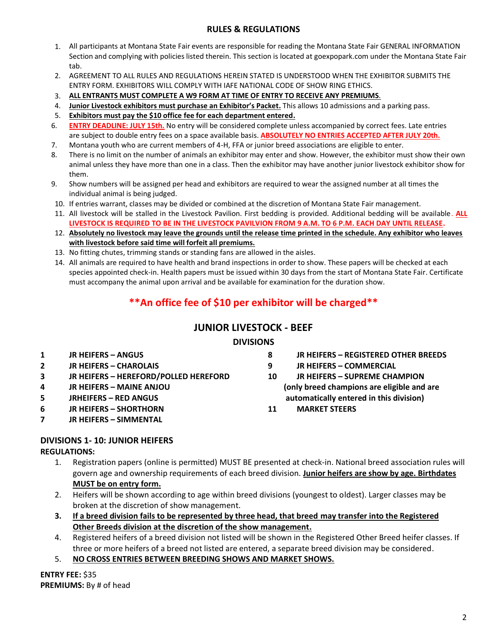## **RULES & REGULATIONS**

- 1. All participants at Montana State Fair events are responsible for reading the Montana State Fair GENERAL INFORMATION Section and complying with policies listed therein. This section is located at goexpopark.com under the Montana State Fair tab.
- 2. AGREEMENT TO ALL RULES AND REGULATIONS HEREIN STATED IS UNDERSTOOD WHEN THE EXHIBITOR SUBMITS THE ENTRY FORM. EXHIBITORS WILL COMPLY WITH IAFE NATIONAL CODE OF SHOW RING ETHICS.
- 3. **ALL ENTRANTS MUST COMPLETE A W9 FORM AT TIME OF ENTRY TO RECEIVE ANY PREMIUMS**.
- 4. **Junior Livestock exhibitors must purchase an Exhibitor's Packet.** This allows 10 admissions and a parking pass.
- 5. **Exhibitors must pay the \$10 office fee for each department entered.**
- 6. **ENTRY DEADLINE: JULY 15th.** No entry will be considered complete unless accompanied by correct fees. Late entries are subject to double entry fees on a space available basis. **ABSOLUTELY NO ENTRIES ACCEPTED AFTER JULY 20th.**
- 7. Montana youth who are current members of 4-H, FFA or junior breed associations are eligible to enter.
- 8. There is no limit on the number of animals an exhibitor may enter and show. However, the exhibitor must show their own animal unless they have more than one in a class. Then the exhibitor may have another junior livestock exhibitor show for them.
- 9. Show numbers will be assigned per head and exhibitors are required to wear the assigned number at all times the individual animal is being judged.
- 10. If entries warrant, classes may be divided or combined at the discretion of Montana State Fair management.
- 11. All livestock will be stalled in the Livestock Pavilion. First bedding is provided. Additional bedding will be available. **ALL LIVESTOCK IS REQUIRED TO BE IN THE LIVESTOCK PAVILVION FROM 9 A.M. TO 6 P.M. EACH DAY UNTIL RELEASE.**
- 12. **Absolutely no livestock may leave the grounds until the release time printed in the schedule. Any exhibitor who leaves with livestock before said time will forfeit all premiums.**
- 13. No fitting chutes, trimming stands or standing fans are allowed in the aisles.
- 14. All animals are required to have health and brand inspections in order to show. These papers will be checked at each species appointed check-in. Health papers must be issued within 30 days from the start of Montana State Fair. Certificate must accompany the animal upon arrival and be available for examination for the duration show.

## **\*\*An office fee of \$10 per exhibitor will be charged\*\***

## **JUNIOR LIVESTOCK - BEEF**

## **DIVISIONS**

- **1 JR HEIFERS – ANGUS**
- **2 JR HEIFERS – CHAROLAIS**
- **3 JR HEIFERS – HEREFORD/POLLED HEREFORD**
- **4 JR HEIFERS – MAINE ANJOU**
- **5 JRHEIFERS – RED ANGUS**
- **6 JR HEIFERS – SHORTHORN**
- **7 JR HEIFERS – SIMMENTAL**
- **8 JR HEIFERS – REGISTERED OTHER BREEDS**
- **9 JR HEIFERS – COMMERCIAL**
- **10 JR HEIFERS – SUPREME CHAMPION (only breed champions are eligible and are automatically entered in this division)**
- **11 MARKET STEERS**

## **DIVISIONS 1- 10: JUNIOR HEIFERS**

## **REGULATIONS:**

- 1. Registration papers (online is permitted) MUST BE presented at check-in. National breed association rules will govern age and ownership requirements of each breed division. **Junior heifers are show by age. Birthdates MUST be on entry form.**
- 2. Heifers will be shown according to age within breed divisions (youngest to oldest). Larger classes may be broken at the discretion of show management.
- **3. If a breed division fails to be represented by three head, that breed may transfer into the Registered Other Breeds division at the discretion of the show management.**
- 4. Registered heifers of a breed division not listed will be shown in the Registered Other Breed heifer classes. If three or more heifers of a breed not listed are entered, a separate breed division may be considered.
- 5. **NO CROSS ENTRIES BETWEEN BREEDING SHOWS AND MARKET SHOWS.**

**ENTRY FEE:** \$35 **PREMIUMS:** By # of head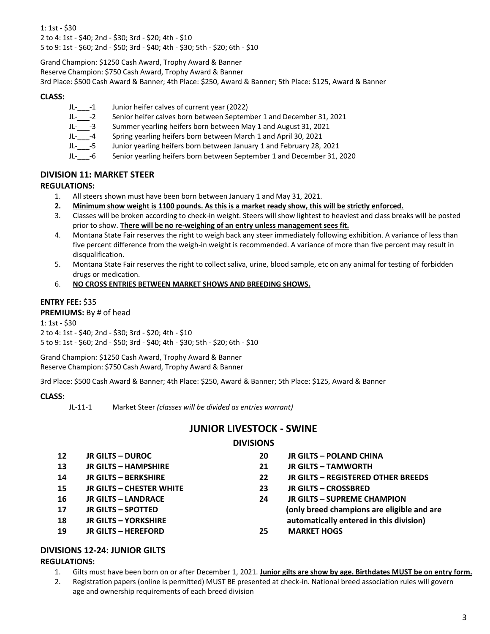1: 1st - \$30 2 to 4: 1st - \$40; 2nd - \$30; 3rd - \$20; 4th - \$10 5 to 9: 1st - \$60; 2nd - \$50; 3rd - \$40; 4th - \$30; 5th - \$20; 6th - \$10

Grand Champion: \$1250 Cash Award, Trophy Award & Banner Reserve Champion: \$750 Cash Award, Trophy Award & Banner 3rd Place: \$500 Cash Award & Banner; 4th Place: \$250, Award & Banner; 5th Place: \$125, Award & Banner

### **CLASS:**

| JL- | Junior heifer calves of current year (2022) |
|-----|---------------------------------------------|
|-----|---------------------------------------------|

- JL- -2 Senior heifer calves born between September 1 and December 31, 2021
- JL-\_\_\_-3 Summer yearling heifers born between May 1 and August 31, 2021
- JL-\_\_\_-4 Spring yearling heifers born between March 1 and April 30, 2021
- JL-\_\_\_-5 Junior yearling heifers born between January 1 and February 28, 2021
- JL-\_\_\_-6 Senior yearling heifers born between September 1 and December 31, 2020

### **DIVISION 11: MARKET STEER**

#### **REGULATIONS:**

- 1. All steers shown must have been born between January 1 and May 31, 2021.
- **2. Minimum show weight is 1100 pounds. As this is a market ready show, this will be strictly enforced.**
- 3. Classes will be broken according to check-in weight. Steers will show lightest to heaviest and class breaks will be posted prior to show. **There will be no re-weighing of an entry unless management sees fit.**
- 4. Montana State Fair reserves the right to weigh back any steer immediately following exhibition. A variance of less than five percent difference from the weigh-in weight is recommended. A variance of more than five percent may result in disqualification.
- 5. Montana State Fair reserves the right to collect saliva, urine, blood sample, etc on any animal for testing of forbidden drugs or medication.
- 6. **NO CROSS ENTRIES BETWEEN MARKET SHOWS AND BREEDING SHOWS.**

### **ENTRY FEE:** \$35

**PREMIUMS:** By # of head

1: 1st - \$30 2 to 4: 1st - \$40; 2nd - \$30; 3rd - \$20; 4th - \$10 5 to 9: 1st - \$60; 2nd - \$50; 3rd - \$40; 4th - \$30; 5th - \$20; 6th - \$10

Grand Champion: \$1250 Cash Award, Trophy Award & Banner Reserve Champion: \$750 Cash Award, Trophy Award & Banner

3rd Place: \$500 Cash Award & Banner; 4th Place: \$250, Award & Banner; 5th Place: \$125, Award & Banner

#### **CLASS:**

## **JUNIOR LIVESTOCK - SWINE**

## **DIVISIONS**

| 12 | <b>JR GILTS - DUROC</b>         | 20 | <b>JR GILTS - POLAND CHINA</b>             |
|----|---------------------------------|----|--------------------------------------------|
| 13 | <b>JR GILTS - HAMPSHIRE</b>     | 21 | <b>JR GILTS - TAMWORTH</b>                 |
| 14 | <b>JR GILTS - BERKSHIRE</b>     | 22 | JR GILTS - REGISTERED OTHER BREEDS         |
| 15 | <b>JR GILTS - CHESTER WHITE</b> | 23 | JR GILTS - CROSSBRED                       |
| 16 | <b>JR GILTS - LANDRACE</b>      | 24 | <b>JR GILTS - SUPREME CHAMPION</b>         |
| 17 | JR GILTS - SPOTTED              |    | (only breed champions are eligible and are |
| 18 | <b>JR GILTS - YORKSHIRE</b>     |    | automatically entered in this division)    |
| 19 | <b>JR GILTS - HEREFORD</b>      | 25 | <b>MARKET HOGS</b>                         |

## **DIVISIONS 12-24: JUNIOR GILTS**

#### **REGULATIONS:**

- 1. Gilts must have been born on or after December 1, 2021. **Junior gilts are show by age. Birthdates MUST be on entry form.**
- 2. Registration papers (online is permitted) MUST BE presented at check-in. National breed association rules will govern age and ownership requirements of each breed division

JL-11-1 Market Steer *(classes will be divided as entries warrant)*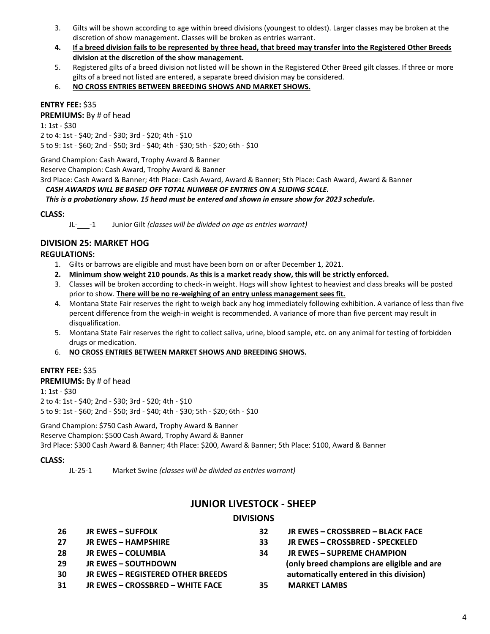- 3. Gilts will be shown according to age within breed divisions (youngest to oldest). Larger classes may be broken at the discretion of show management. Classes will be broken as entries warrant.
- **4. If a breed division fails to be represented by three head, that breed may transfer into the Registered Other Breeds division at the discretion of the show management.**
- 5. Registered gilts of a breed division not listed will be shown in the Registered Other Breed gilt classes. If three or more gilts of a breed not listed are entered, a separate breed division may be considered.
- 6. **NO CROSS ENTRIES BETWEEN BREEDING SHOWS AND MARKET SHOWS.**

#### **ENTRY FEE:** \$35

**PREMIUMS:** By # of head

1: 1st - \$30 2 to 4: 1st - \$40; 2nd - \$30; 3rd - \$20; 4th - \$10 5 to 9: 1st - \$60; 2nd - \$50; 3rd - \$40; 4th - \$30; 5th - \$20; 6th - \$10

Grand Champion: Cash Award, Trophy Award & Banner

Reserve Champion: Cash Award, Trophy Award & Banner

3rd Place: Cash Award & Banner; 4th Place: Cash Award, Award & Banner; 5th Place: Cash Award, Award & Banner

#### *CASH AWARDS WILL BE BASED OFF TOTAL NUMBER OF ENTRIES ON A SLIDING SCALE.*

 *This is a probationary show. 15 head must be entered and shown in ensure show for 2023 schedule.*

#### **CLASS:**

JL-\_\_\_-1 Junior Gilt *(classes will be divided on age as entries warrant)*

#### **DIVISION 25: MARKET HOG**

#### **REGULATIONS:**

- 1. Gilts or barrows are eligible and must have been born on or after December 1, 2021.
- **2. Minimum show weight 210 pounds. As this is a market ready show, this will be strictly enforced.**
- 3. Classes will be broken according to check-in weight. Hogs will show lightest to heaviest and class breaks will be posted prior to show. **There will be no re-weighing of an entry unless management sees fit.**
- 4. Montana State Fair reserves the right to weigh back any hog immediately following exhibition. A variance of less than five percent difference from the weigh-in weight is recommended. A variance of more than five percent may result in disqualification.
- 5. Montana State Fair reserves the right to collect saliva, urine, blood sample, etc. on any animal for testing of forbidden drugs or medication.
- 6. **NO CROSS ENTRIES BETWEEN MARKET SHOWS AND BREEDING SHOWS.**

#### **ENTRY FEE:** \$35

**PREMIUMS:** By # of head 1: 1st - \$30 2 to 4: 1st - \$40; 2nd - \$30; 3rd - \$20; 4th - \$10 5 to 9: 1st - \$60; 2nd - \$50; 3rd - \$40; 4th - \$30; 5th - \$20; 6th - \$10

Grand Champion: \$750 Cash Award, Trophy Award & Banner Reserve Champion: \$500 Cash Award, Trophy Award & Banner 3rd Place: \$300 Cash Award & Banner; 4th Place: \$200, Award & Banner; 5th Place: \$100, Award & Banner

#### **CLASS:**

JL-25-1 Market Swine *(classes will be divided as entries warrant)*

## **JUNIOR LIVESTOCK - SHEEP**

#### **DIVISIONS**

| <b>JR EWES – SUFFOLK</b>                 | 32 | JR EWES - CROSSBRED - BLACK FACE           |
|------------------------------------------|----|--------------------------------------------|
| <b>JR EWES - HAMPSHIRE</b>               | 33 | JR EWES - CROSSBRED - SPECKELED            |
| <b>JR EWES - COLUMBIA</b>                | 34 | <b>JR EWES – SUPREME CHAMPION</b>          |
| <b>JR EWES – SOUTHDOWN</b>               |    | (only breed champions are eligible and are |
| <b>JR EWES – REGISTERED OTHER BREEDS</b> |    | automatically entered in this division)    |
| <b>JR EWES - CROSSBRED - WHITE FACE</b>  | 35 | <b>MARKET LAMBS</b>                        |
|                                          |    |                                            |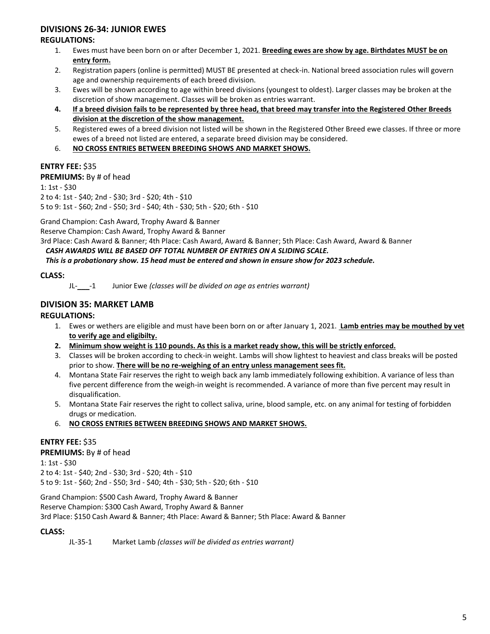## **DIVISIONS 26-34: JUNIOR EWES**

#### **REGULATIONS:**

- 1. Ewes must have been born on or after December 1, 2021. **Breeding ewes are show by age. Birthdates MUST be on entry form.**
- 2. Registration papers (online is permitted) MUST BE presented at check-in. National breed association rules will govern age and ownership requirements of each breed division.
- 3. Ewes will be shown according to age within breed divisions (youngest to oldest). Larger classes may be broken at the discretion of show management. Classes will be broken as entries warrant.
- **4. If a breed division fails to be represented by three head, that breed may transfer into the Registered Other Breeds division at the discretion of the show management.**
- 5. Registered ewes of a breed division not listed will be shown in the Registered Other Breed ewe classes. If three or more ewes of a breed not listed are entered, a separate breed division may be considered.
- 6. **NO CROSS ENTRIES BETWEEN BREEDING SHOWS AND MARKET SHOWS.**

#### **ENTRY FEE:** \$35

#### **PREMIUMS:** By # of head

1: 1st - \$30 2 to 4: 1st - \$40; 2nd - \$30; 3rd - \$20; 4th - \$10 5 to 9: 1st - \$60; 2nd - \$50; 3rd - \$40; 4th - \$30; 5th - \$20; 6th - \$10

Grand Champion: Cash Award, Trophy Award & Banner

Reserve Champion: Cash Award, Trophy Award & Banner

3rd Place: Cash Award & Banner; 4th Place: Cash Award, Award & Banner; 5th Place: Cash Award, Award & Banner

#### *CASH AWARDS WILL BE BASED OFF TOTAL NUMBER OF ENTRIES ON A SLIDING SCALE.*

 *This is a probationary show. 15 head must be entered and shown in ensure show for 2023 schedule.*

#### **CLASS:**

JL-\_\_\_-1 Junior Ewe *(classes will be divided on age as entries warrant)*

## **DIVISION 35: MARKET LAMB**

#### **REGULATIONS:**

- 1. Ewes or wethers are eligible and must have been born on or after January 1, 2021. **Lamb entries may be mouthed by vet to verify age and eligibilty.**
- **2. Minimum show weight is 110 pounds. As this is a market ready show, this will be strictly enforced.**
- 3. Classes will be broken according to check-in weight. Lambs will show lightest to heaviest and class breaks will be posted prior to show. **There will be no re-weighing of an entry unless management sees fit.**
- 4. Montana State Fair reserves the right to weigh back any lamb immediately following exhibition. A variance of less than five percent difference from the weigh-in weight is recommended. A variance of more than five percent may result in disqualification.
- 5. Montana State Fair reserves the right to collect saliva, urine, blood sample, etc. on any animal for testing of forbidden drugs or medication.
- 6. **NO CROSS ENTRIES BETWEEN BREEDING SHOWS AND MARKET SHOWS.**

#### **ENTRY FEE:** \$35

#### **PREMIUMS:** By # of head

1: 1st - \$30 2 to 4: 1st - \$40; 2nd - \$30; 3rd - \$20; 4th - \$10 5 to 9: 1st - \$60; 2nd - \$50; 3rd - \$40; 4th - \$30; 5th - \$20; 6th - \$10

Grand Champion: \$500 Cash Award, Trophy Award & Banner

Reserve Champion: \$300 Cash Award, Trophy Award & Banner

3rd Place: \$150 Cash Award & Banner; 4th Place: Award & Banner; 5th Place: Award & Banner

#### **CLASS:**

JL-35-1 Market Lamb *(classes will be divided as entries warrant)*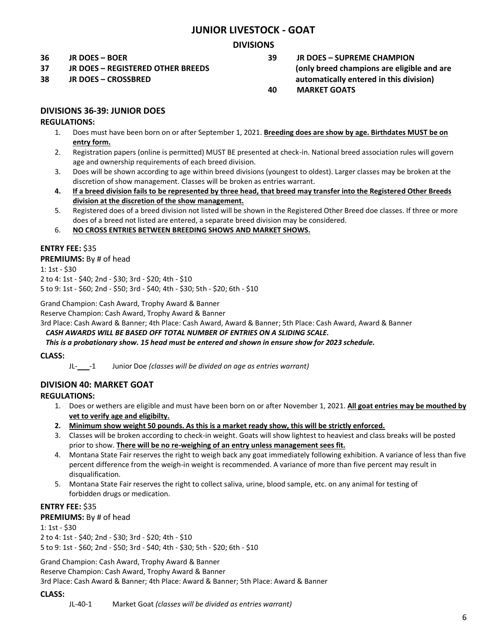## **JUNIOR LIVESTOCK - GOAT**

### **DIVISIONS**

**36 JR DOES – BOER**

**37 JR DOES – REGISTERED OTHER BREEDS**

**38 JR DOES – CROSSBRED** 

**39 JR DOES – SUPREME CHAMPION (only breed champions are eligible and are automatically entered in this division) 40 MARKET GOATS**

#### **DIVISIONS 36-39: JUNIOR DOES**

#### **REGULATIONS:**

- 1. Does must have been born on or after September 1, 2021. **Breeding does are show by age. Birthdates MUST be on entry form.**
- 2. Registration papers (online is permitted) MUST BE presented at check-in. National breed association rules will govern age and ownership requirements of each breed division.
- 3. Does will be shown according to age within breed divisions (youngest to oldest). Larger classes may be broken at the discretion of show management. Classes will be broken as entries warrant.
- **4. If a breed division fails to be represented by three head, that breed may transfer into the Registered Other Breeds division at the discretion of the show management.**
- 5. Registered does of a breed division not listed will be shown in the Registered Other Breed doe classes. If three or more does of a breed not listed are entered, a separate breed division may be considered.
- 6. **NO CROSS ENTRIES BETWEEN BREEDING SHOWS AND MARKET SHOWS.**

#### **ENTRY FEE:** \$35

#### **PREMIUMS:** By # of head

1: 1st - \$30 2 to 4: 1st - \$40; 2nd - \$30; 3rd - \$20; 4th - \$10 5 to 9: 1st - \$60; 2nd - \$50; 3rd - \$40; 4th - \$30; 5th - \$20; 6th - \$10

Grand Champion: Cash Award, Trophy Award & Banner

Reserve Champion: Cash Award, Trophy Award & Banner

3rd Place: Cash Award & Banner; 4th Place: Cash Award, Award & Banner; 5th Place: Cash Award, Award & Banner

## *CASH AWARDS WILL BE BASED OFF TOTAL NUMBER OF ENTRIES ON A SLIDING SCALE.*

#### *This is a probationary show. 15 head must be entered and shown in ensure show for 2023 schedule.*

#### **CLASS:**

JL-\_\_\_-1 Junior Doe *(classes will be divided on age as entries warrant)*

#### **DIVISION 40: MARKET GOAT**

#### **REGULATIONS:**

- 1. Does or wethers are eligible and must have been born on or after November 1, 2021. **All goat entries may be mouthed by vet to verify age and eligibilty.**
- **2. Minimum show weight 50 pounds. As this is a market ready show, this will be strictly enforced.**
- 3. Classes will be broken according to check-in weight. Goats will show lightest to heaviest and class breaks will be posted prior to show. **There will be no re-weighing of an entry unless management sees fit.**
- 4. Montana State Fair reserves the right to weigh back any goat immediately following exhibition. A variance of less than five percent difference from the weigh-in weight is recommended. A variance of more than five percent may result in disqualification.
- 5. Montana State Fair reserves the right to collect saliva, urine, blood sample, etc. on any animal for testing of forbidden drugs or medication.

## **ENTRY FEE:** \$35

#### **PREMIUMS:** By # of head

1: 1st - \$30 2 to 4: 1st - \$40; 2nd - \$30; 3rd - \$20; 4th - \$10 5 to 9: 1st - \$60; 2nd - \$50; 3rd - \$40; 4th - \$30; 5th - \$20; 6th - \$10

Grand Champion: Cash Award, Trophy Award & Banner Reserve Champion: Cash Award, Trophy Award & Banner 3rd Place: Cash Award & Banner; 4th Place: Award & Banner; 5th Place: Award & Banner

#### **CLASS:**